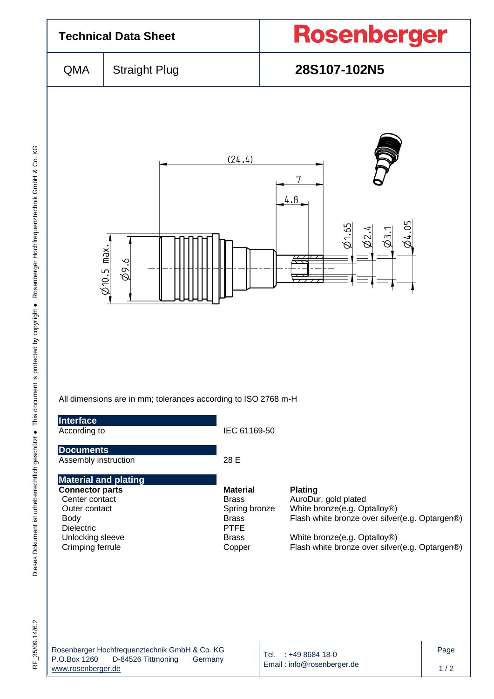

RF 35/09.14/6.2